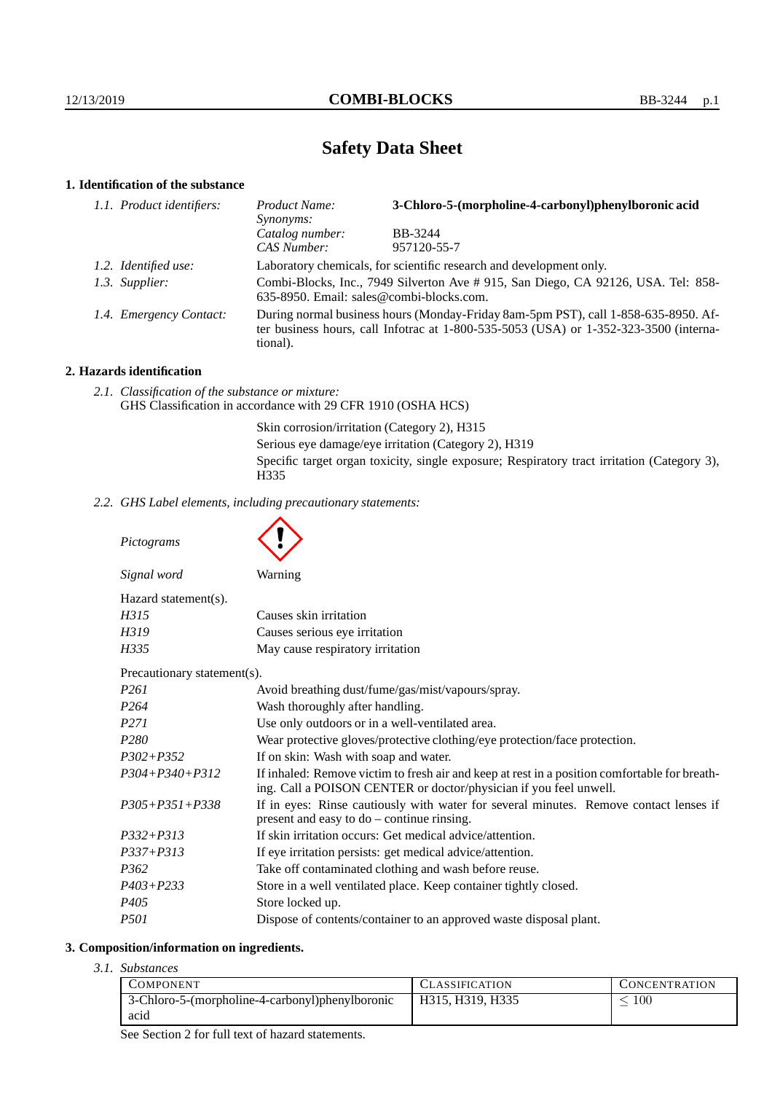# **Safety Data Sheet**

# **1. Identification of the substance**

| 1.1. Product identifiers: | Product Name:<br>Synonyms:                                                                                                                                                                  | 3-Chloro-5-(morpholine-4-carbonyl)phenylboronic acid |
|---------------------------|---------------------------------------------------------------------------------------------------------------------------------------------------------------------------------------------|------------------------------------------------------|
|                           | Catalog number:                                                                                                                                                                             | BB-3244                                              |
|                           | CAS Number:                                                                                                                                                                                 | 957120-55-7                                          |
| 1.2. Identified use:      | Laboratory chemicals, for scientific research and development only.                                                                                                                         |                                                      |
| 1.3. Supplier:            | Combi-Blocks, Inc., 7949 Silverton Ave # 915, San Diego, CA 92126, USA. Tel: 858-<br>635-8950. Email: sales@combi-blocks.com.                                                               |                                                      |
| 1.4. Emergency Contact:   | During normal business hours (Monday-Friday 8am-5pm PST), call 1-858-635-8950. Af-<br>ter business hours, call Infotrac at $1-800-535-5053$ (USA) or $1-352-323-3500$ (interna-<br>tional). |                                                      |

# **2. Hazards identification**

*2.1. Classification of the substance or mixture:* GHS Classification in accordance with 29 CFR 1910 (OSHA HCS)

> Skin corrosion/irritation (Category 2), H315 Serious eye damage/eye irritation (Category 2), H319 Specific target organ toxicity, single exposure; Respiratory tract irritation (Category 3), H335

*2.2. GHS Label elements, including precautionary statements:*

*Pictograms*

| Signal word                 | Warning                                                                                                                                                            |  |  |  |
|-----------------------------|--------------------------------------------------------------------------------------------------------------------------------------------------------------------|--|--|--|
| Hazard statement(s).        |                                                                                                                                                                    |  |  |  |
| H315                        | Causes skin irritation                                                                                                                                             |  |  |  |
| H319                        | Causes serious eye irritation                                                                                                                                      |  |  |  |
| H335                        | May cause respiratory irritation                                                                                                                                   |  |  |  |
| Precautionary statement(s). |                                                                                                                                                                    |  |  |  |
| <i>P261</i>                 | Avoid breathing dust/fume/gas/mist/vapours/spray.                                                                                                                  |  |  |  |
| P <sub>264</sub>            | Wash thoroughly after handling.                                                                                                                                    |  |  |  |
| <i>P271</i>                 | Use only outdoors or in a well-ventilated area.                                                                                                                    |  |  |  |
| P <sub>280</sub>            | Wear protective gloves/protective clothing/eye protection/face protection.                                                                                         |  |  |  |
| $P302 + P352$               | If on skin: Wash with soap and water.                                                                                                                              |  |  |  |
| $P304 + P340 + P312$        | If inhaled: Remove victim to fresh air and keep at rest in a position comfortable for breath-<br>ing. Call a POISON CENTER or doctor/physician if you feel unwell. |  |  |  |
| $P305 + P351 + P338$        | If in eyes: Rinse cautiously with water for several minutes. Remove contact lenses if<br>present and easy to do – continue rinsing.                                |  |  |  |
| $P332 + P313$               | If skin irritation occurs: Get medical advice/attention.                                                                                                           |  |  |  |
| $P337 + P313$               | If eye irritation persists: get medical advice/attention.                                                                                                          |  |  |  |
| P <sub>362</sub>            | Take off contaminated clothing and wash before reuse.                                                                                                              |  |  |  |
| $P403 + P233$               | Store in a well ventilated place. Keep container tightly closed.                                                                                                   |  |  |  |
| P405                        | Store locked up.                                                                                                                                                   |  |  |  |
| <i>P501</i>                 | Dispose of contents/container to an approved waste disposal plant.                                                                                                 |  |  |  |

## **3. Composition/information on ingredients.**

*3.1. Substances*

| COMPONENT                                       | <b>CLASSIFICATION</b> | <b>CONCENTRATION</b> |
|-------------------------------------------------|-----------------------|----------------------|
| 3-Chloro-5-(morpholine-4-carbonyl)phenylboronic | H315, H319, H335      | 100                  |
| acid                                            |                       |                      |

See Section 2 for full text of hazard statements.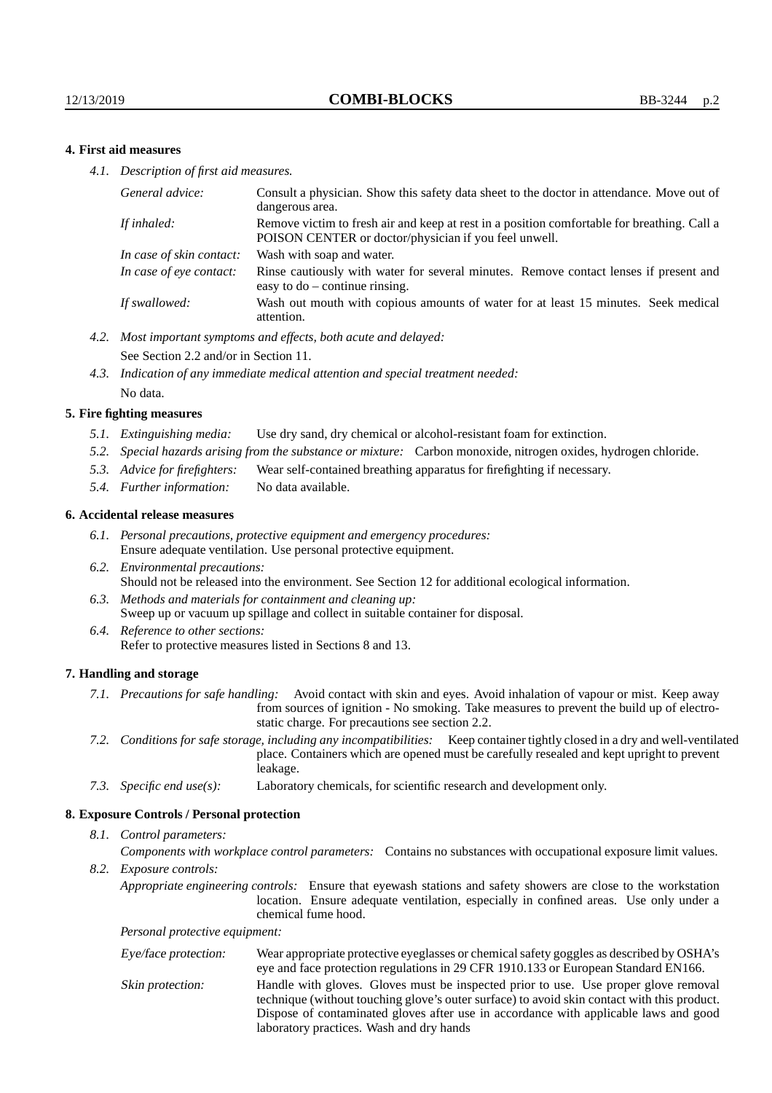### **4. First aid measures**

*4.1. Description of first aid measures.*

| General advice:          | Consult a physician. Show this safety data sheet to the doctor in attendance. Move out of<br>dangerous area.                                         |
|--------------------------|------------------------------------------------------------------------------------------------------------------------------------------------------|
| If inhaled:              | Remove victim to fresh air and keep at rest in a position comfortable for breathing. Call a<br>POISON CENTER or doctor/physician if you feel unwell. |
| In case of skin contact: | Wash with soap and water.                                                                                                                            |
| In case of eve contact:  | Rinse cautiously with water for several minutes. Remove contact lenses if present and<br>easy to $do$ – continue rinsing.                            |
| If swallowed:            | Wash out mouth with copious amounts of water for at least 15 minutes. Seek medical<br>attention.                                                     |

- *4.2. Most important symptoms and effects, both acute and delayed:* See Section 2.2 and/or in Section 11.
- *4.3. Indication of any immediate medical attention and special treatment needed:* No data.

#### **5. Fire fighting measures**

- *5.1. Extinguishing media:* Use dry sand, dry chemical or alcohol-resistant foam for extinction.
- *5.2. Special hazards arising from the substance or mixture:* Carbon monoxide, nitrogen oxides, hydrogen chloride.
- *5.3. Advice for firefighters:* Wear self-contained breathing apparatus for firefighting if necessary.
- *5.4. Further information:* No data available.

#### **6. Accidental release measures**

- *6.1. Personal precautions, protective equipment and emergency procedures:* Ensure adequate ventilation. Use personal protective equipment.
- *6.2. Environmental precautions:* Should not be released into the environment. See Section 12 for additional ecological information.
- *6.3. Methods and materials for containment and cleaning up:* Sweep up or vacuum up spillage and collect in suitable container for disposal.
- *6.4. Reference to other sections:* Refer to protective measures listed in Sections 8 and 13.

#### **7. Handling and storage**

- *7.1. Precautions for safe handling:* Avoid contact with skin and eyes. Avoid inhalation of vapour or mist. Keep away from sources of ignition - No smoking. Take measures to prevent the build up of electrostatic charge. For precautions see section 2.2.
- *7.2. Conditions for safe storage, including any incompatibilities:* Keep container tightly closed in a dry and well-ventilated place. Containers which are opened must be carefully resealed and kept upright to prevent leakage.
- *7.3. Specific end use(s):* Laboratory chemicals, for scientific research and development only.

#### **8. Exposure Controls / Personal protection**

*8.1. Control parameters:*

*Components with workplace control parameters:* Contains no substances with occupational exposure limit values.

*8.2. Exposure controls:*

*Appropriate engineering controls:* Ensure that eyewash stations and safety showers are close to the workstation location. Ensure adequate ventilation, especially in confined areas. Use only under a chemical fume hood.

*Personal protective equipment:*

| Eye/face protection: | Wear appropriate protective eyeglasses or chemical safety goggles as described by OSHA's<br>eye and face protection regulations in 29 CFR 1910.133 or European Standard EN166.                                                                                                                                         |
|----------------------|------------------------------------------------------------------------------------------------------------------------------------------------------------------------------------------------------------------------------------------------------------------------------------------------------------------------|
| Skin protection:     | Handle with gloves. Gloves must be inspected prior to use. Use proper glove removal<br>technique (without touching glove's outer surface) to avoid skin contact with this product.<br>Dispose of contaminated gloves after use in accordance with applicable laws and good<br>laboratory practices. Wash and dry hands |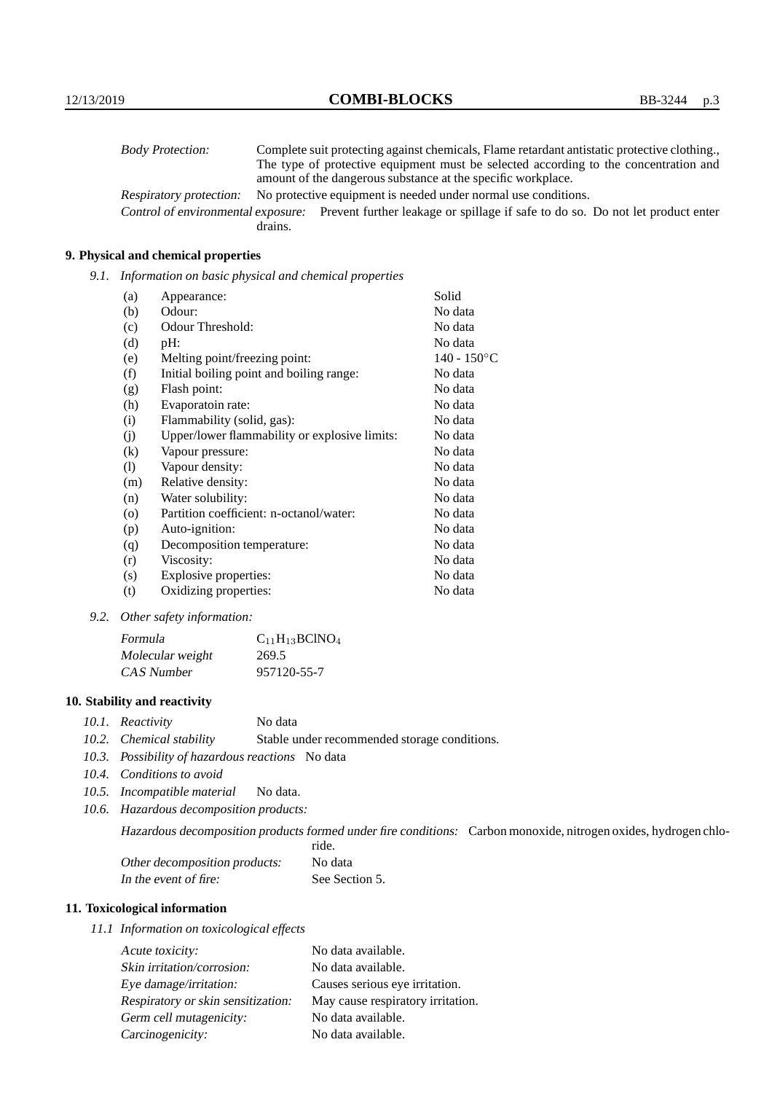| <b>Body Protection:</b> | Complete suit protecting against chemicals, Flame retardant antistatic protective clothing.                       |
|-------------------------|-------------------------------------------------------------------------------------------------------------------|
|                         | The type of protective equipment must be selected according to the concentration and                              |
|                         | amount of the dangerous substance at the specific workplace.                                                      |
| Respiratory protection: | No protective equipment is needed under normal use conditions.                                                    |
|                         | Control of environmental exposure: Prevent further leakage or spillage if safe to do so. Do not let product enter |
|                         | drains.                                                                                                           |

## **9. Physical and chemical properties**

*9.1. Information on basic physical and chemical properties*

| (a)                        | Appearance:                                   | Solid          |
|----------------------------|-----------------------------------------------|----------------|
| (b)                        | Odour:                                        | No data        |
| (c)                        | Odour Threshold:                              | No data        |
| (d)                        | pH:                                           | No data        |
| (e)                        | Melting point/freezing point:                 | $140 - 150$ °C |
| (f)                        | Initial boiling point and boiling range:      | No data        |
| (g)                        | Flash point:                                  | No data        |
| (h)                        | Evaporatoin rate:                             | No data        |
| (i)                        | Flammability (solid, gas):                    | No data        |
| (j)                        | Upper/lower flammability or explosive limits: | No data        |
| $\left( k\right)$          | Vapour pressure:                              | No data        |
| $\left( \mathrm{l}\right)$ | Vapour density:                               | No data        |
| (m)                        | Relative density:                             | No data        |
| (n)                        | Water solubility:                             | No data        |
| $\circ$                    | Partition coefficient: n-octanol/water:       | No data        |
| (p)                        | Auto-ignition:                                | No data        |
| (q)                        | Decomposition temperature:                    | No data        |
| (r)                        | Viscosity:                                    | No data        |
| (s)                        | Explosive properties:                         | No data        |
| (t)                        | Oxidizing properties:                         | No data        |

*9.2. Other safety information:*

| Formula          | $C_{11}H_{13}BCINO_4$ |
|------------------|-----------------------|
| Molecular weight | 269.5                 |
| CAS Number       | 957120-55-7           |

## **10. Stability and reactivity**

- *10.1. Reactivity* No data
- *10.2. Chemical stability* Stable under recommended storage conditions.
- *10.3. Possibility of hazardous reactions* No data
- *10.4. Conditions to avoid*
- *10.5. Incompatible material* No data.
- *10.6. Hazardous decomposition products:*

Hazardous decomposition products formed under fire conditions: Carbon monoxide, nitrogen oxides, hydrogen chlo-

|                               | ride.          |
|-------------------------------|----------------|
| Other decomposition products: | No data        |
| In the event of fire:         | See Section 5. |

## **11. Toxicological information**

*11.1 Information on toxicological effects*

| Acute toxicity:                    | No data available.                |
|------------------------------------|-----------------------------------|
| Skin irritation/corrosion:         | No data available.                |
| Eye damage/irritation:             | Causes serious eye irritation.    |
| Respiratory or skin sensitization: | May cause respiratory irritation. |
| Germ cell mutagenicity:            | No data available.                |
| Carcinogenicity:                   | No data available.                |